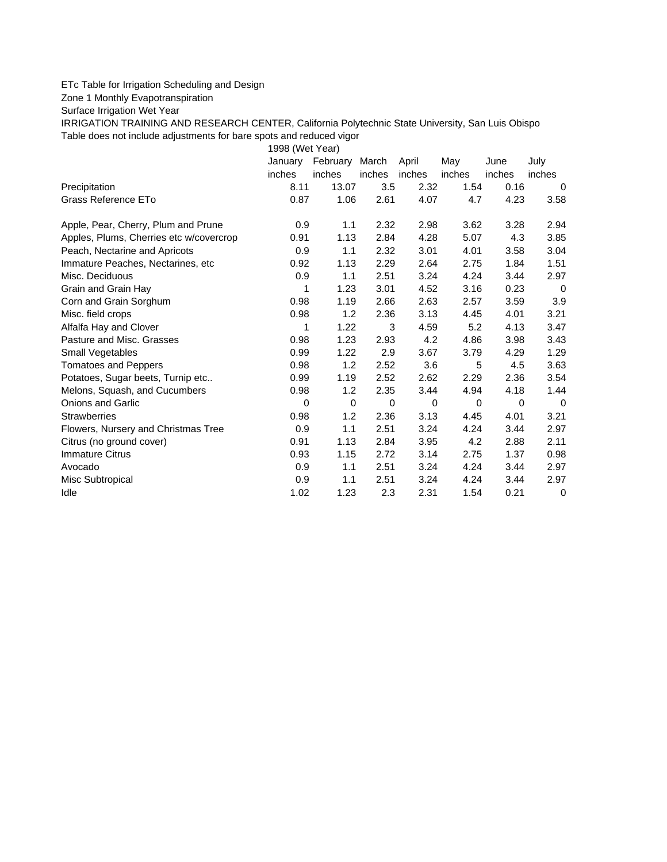## ETc Table for Irrigation Scheduling and Design

Zone 1 Monthly Evapotranspiration

Surface Irrigation Wet Year

IRRIGATION TRAINING AND RESEARCH CENTER, California Polytechnic State University, San Luis Obispo Table does not include adjustments for bare spots and reduced vigor

1998 (Wet Year)

|                                         | January | February    | March         | April  | May         | June   | July        |
|-----------------------------------------|---------|-------------|---------------|--------|-------------|--------|-------------|
|                                         | inches  | inches      | <i>inches</i> | inches | inches      | inches | inches      |
| Precipitation                           | 8.11    | 13.07       | 3.5           | 2.32   | 1.54        | 0.16   | 0           |
| Grass Reference ETo                     | 0.87    | 1.06        | 2.61          | 4.07   | 4.7         | 4.23   | 3.58        |
| Apple, Pear, Cherry, Plum and Prune     | 0.9     | 1.1         | 2.32          | 2.98   | 3.62        | 3.28   | 2.94        |
| Apples, Plums, Cherries etc w/covercrop | 0.91    | 1.13        | 2.84          | 4.28   | 5.07        | 4.3    | 3.85        |
| Peach, Nectarine and Apricots           | 0.9     | 1.1         | 2.32          | 3.01   | 4.01        | 3.58   | 3.04        |
| Immature Peaches, Nectarines, etc       | 0.92    | 1.13        | 2.29          | 2.64   | 2.75        | 1.84   | 1.51        |
| Misc. Deciduous                         | 0.9     | 1.1         | 2.51          | 3.24   | 4.24        | 3.44   | 2.97        |
| Grain and Grain Hay                     | 1       | 1.23        | 3.01          | 4.52   | 3.16        | 0.23   | 0           |
| Corn and Grain Sorghum                  | 0.98    | 1.19        | 2.66          | 2.63   | 2.57        | 3.59   | 3.9         |
| Misc. field crops                       | 0.98    | 1.2         | 2.36          | 3.13   | 4.45        | 4.01   | 3.21        |
| Alfalfa Hay and Clover                  | 1       | 1.22        | 3             | 4.59   | 5.2         | 4.13   | 3.47        |
| Pasture and Misc. Grasses               | 0.98    | 1.23        | 2.93          | 4.2    | 4.86        | 3.98   | 3.43        |
| Small Vegetables                        | 0.99    | 1.22        | 2.9           | 3.67   | 3.79        | 4.29   | 1.29        |
| <b>Tomatoes and Peppers</b>             | 0.98    | 1.2         | 2.52          | 3.6    | 5           | 4.5    | 3.63        |
| Potatoes, Sugar beets, Turnip etc       | 0.99    | 1.19        | 2.52          | 2.62   | 2.29        | 2.36   | 3.54        |
| Melons, Squash, and Cucumbers           | 0.98    | 1.2         | 2.35          | 3.44   | 4.94        | 4.18   | 1.44        |
| <b>Onions and Garlic</b>                | 0       | $\mathbf 0$ | 0             | 0      | $\mathbf 0$ | 0      | $\Omega$    |
| <b>Strawberries</b>                     | 0.98    | 1.2         | 2.36          | 3.13   | 4.45        | 4.01   | 3.21        |
| Flowers, Nursery and Christmas Tree     | 0.9     | 1.1         | 2.51          | 3.24   | 4.24        | 3.44   | 2.97        |
| Citrus (no ground cover)                | 0.91    | 1.13        | 2.84          | 3.95   | 4.2         | 2.88   | 2.11        |
| <b>Immature Citrus</b>                  | 0.93    | 1.15        | 2.72          | 3.14   | 2.75        | 1.37   | 0.98        |
| Avocado                                 | 0.9     | 1.1         | 2.51          | 3.24   | 4.24        | 3.44   | 2.97        |
| Misc Subtropical                        | 0.9     | 1.1         | 2.51          | 3.24   | 4.24        | 3.44   | 2.97        |
| Idle                                    | 1.02    | 1.23        | 2.3           | 2.31   | 1.54        | 0.21   | $\mathbf 0$ |